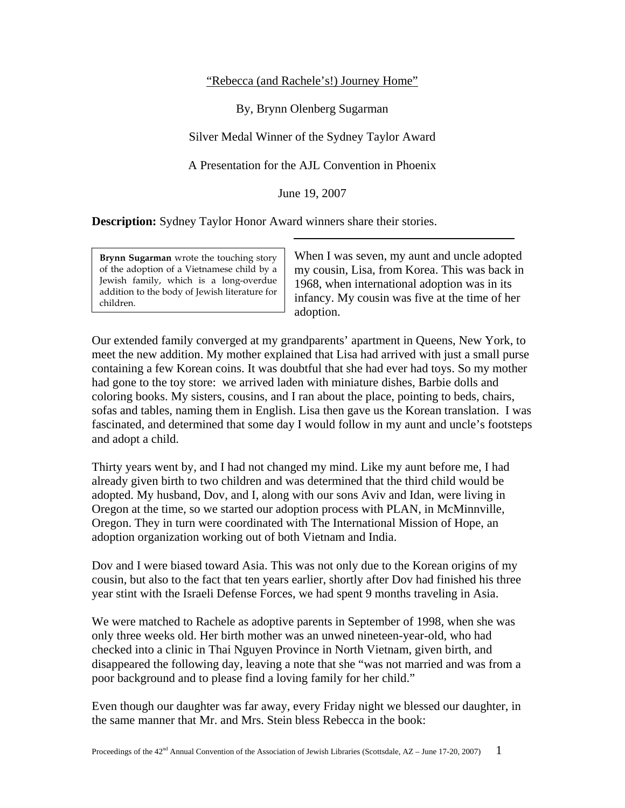## "Rebecca (and Rachele's!) Journey Home"

By, Brynn Olenberg Sugarman

Silver Medal Winner of the Sydney Taylor Award

A Presentation for the AJL Convention in Phoenix

June 19, 2007

**Description:** Sydney Taylor Honor Award winners share their stories.

**Brynn Sugarman** wrote the touching story of the adoption of a Vietnamese child by a Jewish family, which is a long-overdue addition to the body of Jewish literature for children.

When I was seven, my aunt and uncle adopted my cousin, Lisa, from Korea. This was back in 1968, when international adoption was in its infancy. My cousin was five at the time of her adoption.

Our extended family converged at my grandparents' apartment in Queens, New York, to meet the new addition. My mother explained that Lisa had arrived with just a small purse containing a few Korean coins. It was doubtful that she had ever had toys. So my mother had gone to the toy store: we arrived laden with miniature dishes, Barbie dolls and coloring books. My sisters, cousins, and I ran about the place, pointing to beds, chairs, sofas and tables, naming them in English. Lisa then gave us the Korean translation. I was fascinated, and determined that some day I would follow in my aunt and uncle's footsteps and adopt a child.

Thirty years went by, and I had not changed my mind. Like my aunt before me, I had already given birth to two children and was determined that the third child would be adopted. My husband, Dov, and I, along with our sons Aviv and Idan, were living in Oregon at the time, so we started our adoption process with PLAN, in McMinnville, Oregon. They in turn were coordinated with The International Mission of Hope, an adoption organization working out of both Vietnam and India.

Dov and I were biased toward Asia. This was not only due to the Korean origins of my cousin, but also to the fact that ten years earlier, shortly after Dov had finished his three year stint with the Israeli Defense Forces, we had spent 9 months traveling in Asia.

We were matched to Rachele as adoptive parents in September of 1998, when she was only three weeks old. Her birth mother was an unwed nineteen-year-old, who had checked into a clinic in Thai Nguyen Province in North Vietnam, given birth, and disappeared the following day, leaving a note that she "was not married and was from a poor background and to please find a loving family for her child."

Even though our daughter was far away, every Friday night we blessed our daughter, in the same manner that Mr. and Mrs. Stein bless Rebecca in the book: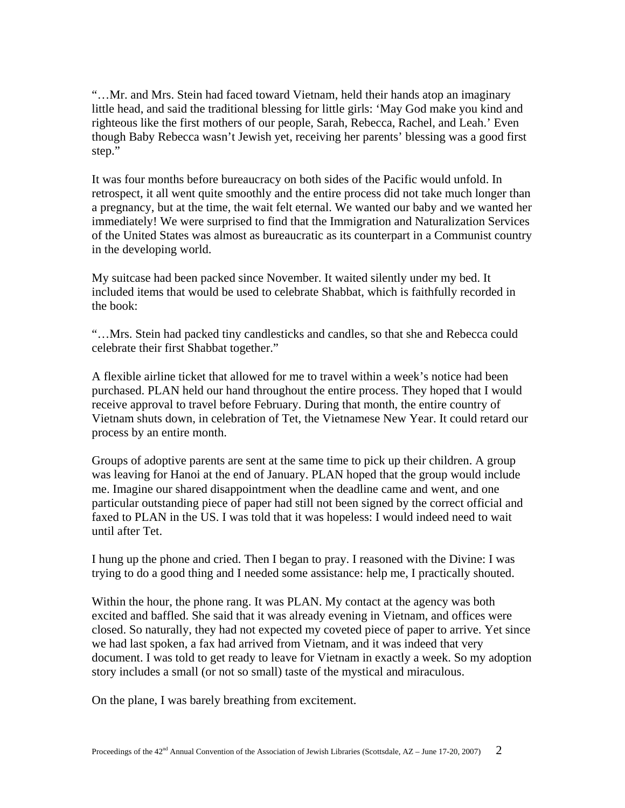"…Mr. and Mrs. Stein had faced toward Vietnam, held their hands atop an imaginary little head, and said the traditional blessing for little girls: 'May God make you kind and righteous like the first mothers of our people, Sarah, Rebecca, Rachel, and Leah.' Even though Baby Rebecca wasn't Jewish yet, receiving her parents' blessing was a good first step."

It was four months before bureaucracy on both sides of the Pacific would unfold. In retrospect, it all went quite smoothly and the entire process did not take much longer than a pregnancy, but at the time, the wait felt eternal. We wanted our baby and we wanted her immediately! We were surprised to find that the Immigration and Naturalization Services of the United States was almost as bureaucratic as its counterpart in a Communist country in the developing world.

My suitcase had been packed since November. It waited silently under my bed. It included items that would be used to celebrate Shabbat, which is faithfully recorded in the book:

"…Mrs. Stein had packed tiny candlesticks and candles, so that she and Rebecca could celebrate their first Shabbat together."

A flexible airline ticket that allowed for me to travel within a week's notice had been purchased. PLAN held our hand throughout the entire process. They hoped that I would receive approval to travel before February. During that month, the entire country of Vietnam shuts down, in celebration of Tet, the Vietnamese New Year. It could retard our process by an entire month.

Groups of adoptive parents are sent at the same time to pick up their children. A group was leaving for Hanoi at the end of January. PLAN hoped that the group would include me. Imagine our shared disappointment when the deadline came and went, and one particular outstanding piece of paper had still not been signed by the correct official and faxed to PLAN in the US. I was told that it was hopeless: I would indeed need to wait until after Tet.

I hung up the phone and cried. Then I began to pray. I reasoned with the Divine: I was trying to do a good thing and I needed some assistance: help me, I practically shouted.

Within the hour, the phone rang. It was PLAN. My contact at the agency was both excited and baffled. She said that it was already evening in Vietnam, and offices were closed. So naturally, they had not expected my coveted piece of paper to arrive. Yet since we had last spoken, a fax had arrived from Vietnam, and it was indeed that very document. I was told to get ready to leave for Vietnam in exactly a week. So my adoption story includes a small (or not so small) taste of the mystical and miraculous.

On the plane, I was barely breathing from excitement.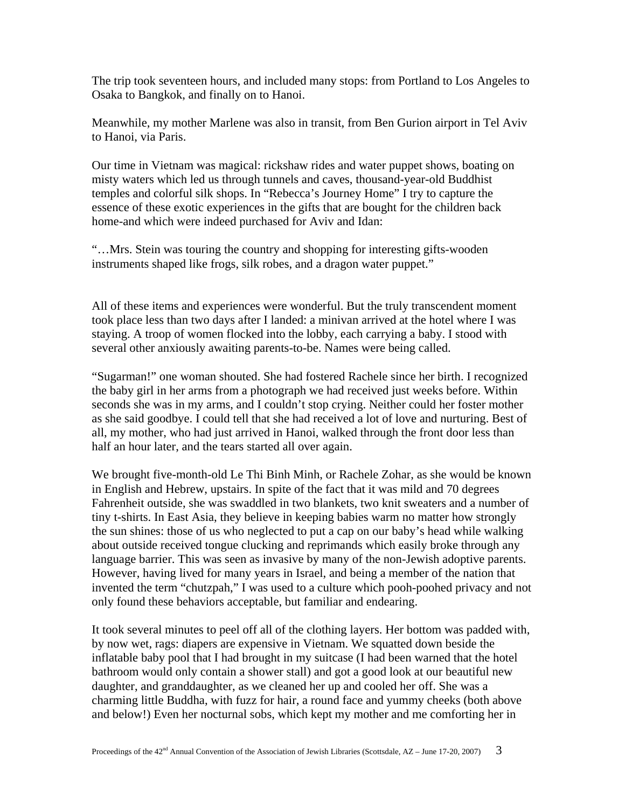The trip took seventeen hours, and included many stops: from Portland to Los Angeles to Osaka to Bangkok, and finally on to Hanoi.

Meanwhile, my mother Marlene was also in transit, from Ben Gurion airport in Tel Aviv to Hanoi, via Paris.

Our time in Vietnam was magical: rickshaw rides and water puppet shows, boating on misty waters which led us through tunnels and caves, thousand-year-old Buddhist temples and colorful silk shops. In "Rebecca's Journey Home" I try to capture the essence of these exotic experiences in the gifts that are bought for the children back home-and which were indeed purchased for Aviv and Idan:

"…Mrs. Stein was touring the country and shopping for interesting gifts-wooden instruments shaped like frogs, silk robes, and a dragon water puppet."

All of these items and experiences were wonderful. But the truly transcendent moment took place less than two days after I landed: a minivan arrived at the hotel where I was staying. A troop of women flocked into the lobby, each carrying a baby. I stood with several other anxiously awaiting parents-to-be. Names were being called.

"Sugarman!" one woman shouted. She had fostered Rachele since her birth. I recognized the baby girl in her arms from a photograph we had received just weeks before. Within seconds she was in my arms, and I couldn't stop crying. Neither could her foster mother as she said goodbye. I could tell that she had received a lot of love and nurturing. Best of all, my mother, who had just arrived in Hanoi, walked through the front door less than half an hour later, and the tears started all over again.

We brought five-month-old Le Thi Binh Minh, or Rachele Zohar, as she would be known in English and Hebrew, upstairs. In spite of the fact that it was mild and 70 degrees Fahrenheit outside, she was swaddled in two blankets, two knit sweaters and a number of tiny t-shirts. In East Asia, they believe in keeping babies warm no matter how strongly the sun shines: those of us who neglected to put a cap on our baby's head while walking about outside received tongue clucking and reprimands which easily broke through any language barrier. This was seen as invasive by many of the non-Jewish adoptive parents. However, having lived for many years in Israel, and being a member of the nation that invented the term "chutzpah," I was used to a culture which pooh-poohed privacy and not only found these behaviors acceptable, but familiar and endearing.

It took several minutes to peel off all of the clothing layers. Her bottom was padded with, by now wet, rags: diapers are expensive in Vietnam. We squatted down beside the inflatable baby pool that I had brought in my suitcase (I had been warned that the hotel bathroom would only contain a shower stall) and got a good look at our beautiful new daughter, and granddaughter, as we cleaned her up and cooled her off. She was a charming little Buddha, with fuzz for hair, a round face and yummy cheeks (both above and below!) Even her nocturnal sobs, which kept my mother and me comforting her in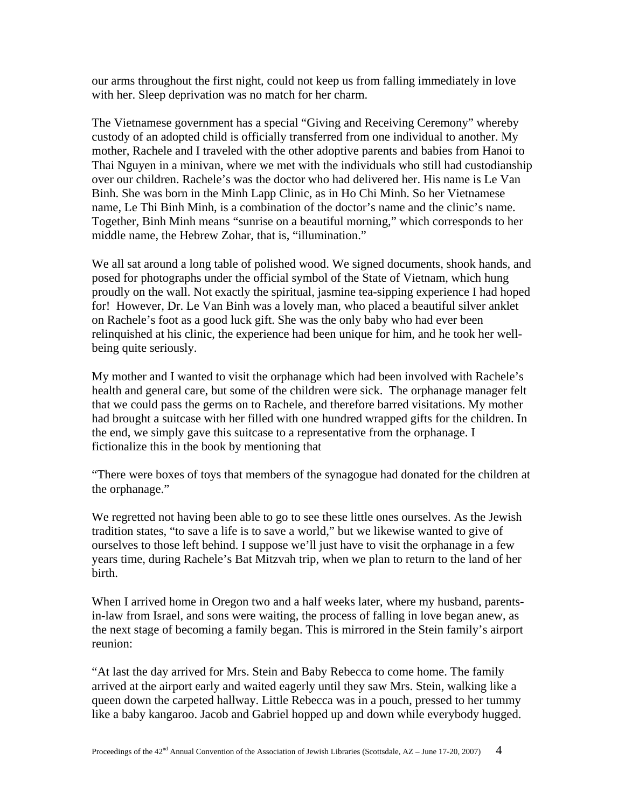our arms throughout the first night, could not keep us from falling immediately in love with her. Sleep deprivation was no match for her charm.

The Vietnamese government has a special "Giving and Receiving Ceremony" whereby custody of an adopted child is officially transferred from one individual to another. My mother, Rachele and I traveled with the other adoptive parents and babies from Hanoi to Thai Nguyen in a minivan, where we met with the individuals who still had custodianship over our children. Rachele's was the doctor who had delivered her. His name is Le Van Binh. She was born in the Minh Lapp Clinic, as in Ho Chi Minh. So her Vietnamese name, Le Thi Binh Minh, is a combination of the doctor's name and the clinic's name. Together, Binh Minh means "sunrise on a beautiful morning," which corresponds to her middle name, the Hebrew Zohar, that is, "illumination."

We all sat around a long table of polished wood. We signed documents, shook hands, and posed for photographs under the official symbol of the State of Vietnam, which hung proudly on the wall. Not exactly the spiritual, jasmine tea-sipping experience I had hoped for! However, Dr. Le Van Binh was a lovely man, who placed a beautiful silver anklet on Rachele's foot as a good luck gift. She was the only baby who had ever been relinquished at his clinic, the experience had been unique for him, and he took her wellbeing quite seriously.

My mother and I wanted to visit the orphanage which had been involved with Rachele's health and general care, but some of the children were sick. The orphanage manager felt that we could pass the germs on to Rachele, and therefore barred visitations. My mother had brought a suitcase with her filled with one hundred wrapped gifts for the children. In the end, we simply gave this suitcase to a representative from the orphanage. I fictionalize this in the book by mentioning that

"There were boxes of toys that members of the synagogue had donated for the children at the orphanage."

We regretted not having been able to go to see these little ones ourselves. As the Jewish tradition states, "to save a life is to save a world," but we likewise wanted to give of ourselves to those left behind. I suppose we'll just have to visit the orphanage in a few years time, during Rachele's Bat Mitzvah trip, when we plan to return to the land of her birth.

When I arrived home in Oregon two and a half weeks later, where my husband, parentsin-law from Israel, and sons were waiting, the process of falling in love began anew, as the next stage of becoming a family began. This is mirrored in the Stein family's airport reunion:

"At last the day arrived for Mrs. Stein and Baby Rebecca to come home. The family arrived at the airport early and waited eagerly until they saw Mrs. Stein, walking like a queen down the carpeted hallway. Little Rebecca was in a pouch, pressed to her tummy like a baby kangaroo. Jacob and Gabriel hopped up and down while everybody hugged.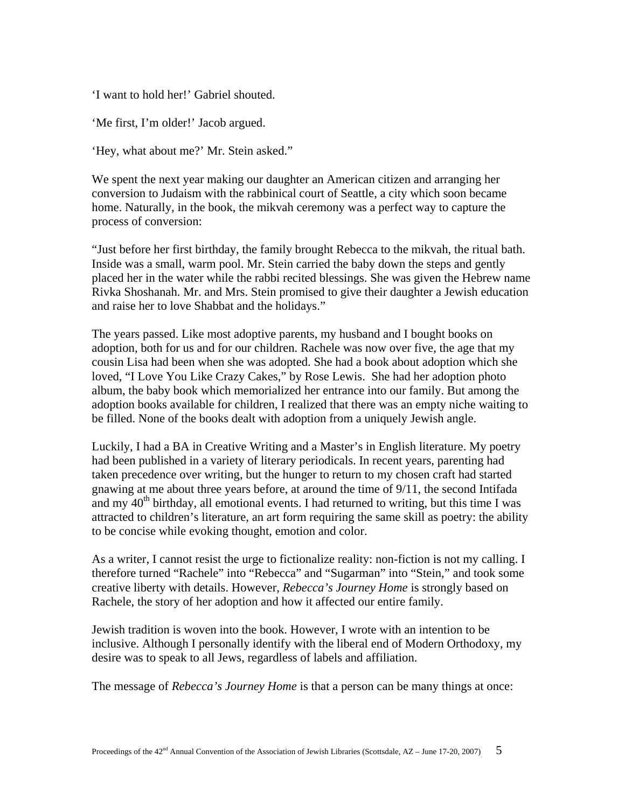'I want to hold her!' Gabriel shouted.

'Me first, I'm older!' Jacob argued.

'Hey, what about me?' Mr. Stein asked."

We spent the next year making our daughter an American citizen and arranging her conversion to Judaism with the rabbinical court of Seattle, a city which soon became home. Naturally, in the book, the mikvah ceremony was a perfect way to capture the process of conversion:

"Just before her first birthday, the family brought Rebecca to the mikvah, the ritual bath. Inside was a small, warm pool. Mr. Stein carried the baby down the steps and gently placed her in the water while the rabbi recited blessings. She was given the Hebrew name Rivka Shoshanah. Mr. and Mrs. Stein promised to give their daughter a Jewish education and raise her to love Shabbat and the holidays."

The years passed. Like most adoptive parents, my husband and I bought books on adoption, both for us and for our children. Rachele was now over five, the age that my cousin Lisa had been when she was adopted. She had a book about adoption which she loved, "I Love You Like Crazy Cakes," by Rose Lewis. She had her adoption photo album, the baby book which memorialized her entrance into our family. But among the adoption books available for children, I realized that there was an empty niche waiting to be filled. None of the books dealt with adoption from a uniquely Jewish angle.

Luckily, I had a BA in Creative Writing and a Master's in English literature. My poetry had been published in a variety of literary periodicals. In recent years, parenting had taken precedence over writing, but the hunger to return to my chosen craft had started gnawing at me about three years before, at around the time of 9/11, the second Intifada and my  $40<sup>th</sup>$  birthday, all emotional events. I had returned to writing, but this time I was attracted to children's literature, an art form requiring the same skill as poetry: the ability to be concise while evoking thought, emotion and color.

As a writer, I cannot resist the urge to fictionalize reality: non-fiction is not my calling. I therefore turned "Rachele" into "Rebecca" and "Sugarman" into "Stein," and took some creative liberty with details. However, *Rebecca's Journey Home* is strongly based on Rachele, the story of her adoption and how it affected our entire family.

Jewish tradition is woven into the book. However, I wrote with an intention to be inclusive. Although I personally identify with the liberal end of Modern Orthodoxy, my desire was to speak to all Jews, regardless of labels and affiliation.

The message of *Rebecca's Journey Home* is that a person can be many things at once: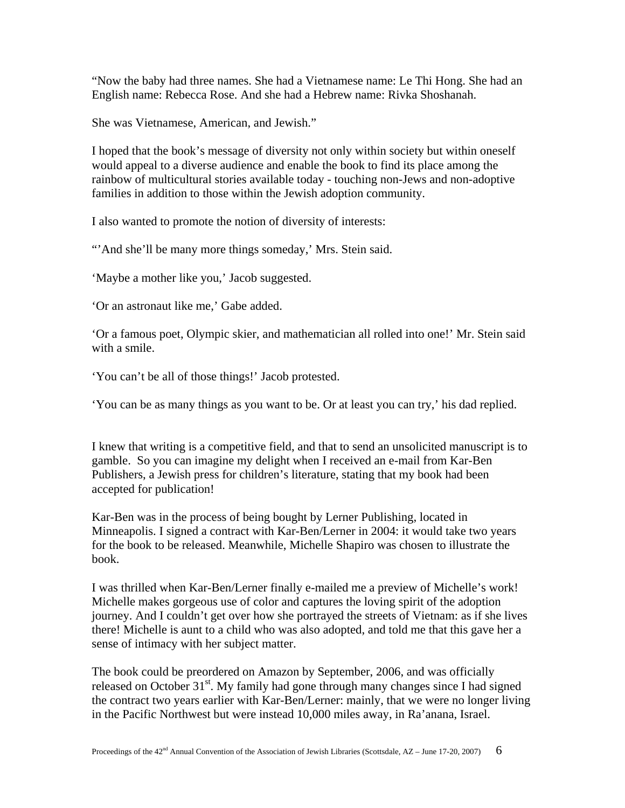"Now the baby had three names. She had a Vietnamese name: Le Thi Hong. She had an English name: Rebecca Rose. And she had a Hebrew name: Rivka Shoshanah.

She was Vietnamese, American, and Jewish."

I hoped that the book's message of diversity not only within society but within oneself would appeal to a diverse audience and enable the book to find its place among the rainbow of multicultural stories available today - touching non-Jews and non-adoptive families in addition to those within the Jewish adoption community.

I also wanted to promote the notion of diversity of interests:

"'And she'll be many more things someday,' Mrs. Stein said.

'Maybe a mother like you,' Jacob suggested.

'Or an astronaut like me,' Gabe added.

'Or a famous poet, Olympic skier, and mathematician all rolled into one!' Mr. Stein said with a smile.

'You can't be all of those things!' Jacob protested.

'You can be as many things as you want to be. Or at least you can try,' his dad replied.

I knew that writing is a competitive field, and that to send an unsolicited manuscript is to gamble. So you can imagine my delight when I received an e-mail from Kar-Ben Publishers, a Jewish press for children's literature, stating that my book had been accepted for publication!

Kar-Ben was in the process of being bought by Lerner Publishing, located in Minneapolis. I signed a contract with Kar-Ben/Lerner in 2004: it would take two years for the book to be released. Meanwhile, Michelle Shapiro was chosen to illustrate the book.

I was thrilled when Kar-Ben/Lerner finally e-mailed me a preview of Michelle's work! Michelle makes gorgeous use of color and captures the loving spirit of the adoption journey. And I couldn't get over how she portrayed the streets of Vietnam: as if she lives there! Michelle is aunt to a child who was also adopted, and told me that this gave her a sense of intimacy with her subject matter.

The book could be preordered on Amazon by September, 2006, and was officially released on October  $31<sup>st</sup>$ . My family had gone through many changes since I had signed the contract two years earlier with Kar-Ben/Lerner: mainly, that we were no longer living in the Pacific Northwest but were instead 10,000 miles away, in Ra'anana, Israel.